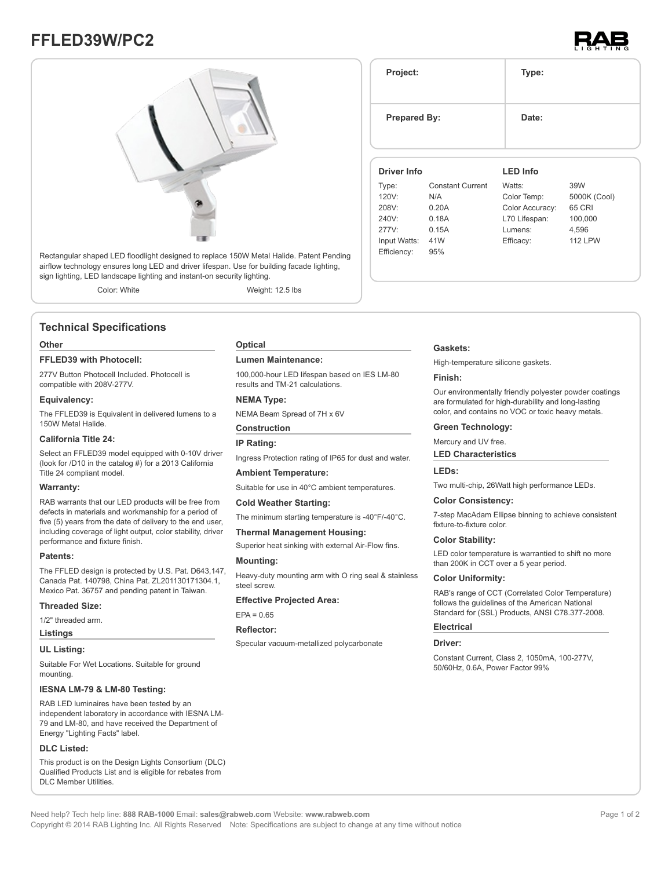



Rectangular shaped LED floodlight designed to replace 150W Metal Halide. Patent Pending airflow technology ensures long LED and driver lifespan. Use for building facade lighting, sign lighting, LED landscape lighting and instant-on security lighting.

Color: White Weight: 12.5 lbs

# **Technical Specifications**

#### **Other**

#### **FFLED39 with Photocell:**

277V Button Photocell Included. Photocell is compatible with 208V-277V.

#### **Equivalency:**

The FFLED39 is Equivalent in delivered lumens to a 150W Metal Halide.

#### **California Title 24:**

Select an FFLED39 model equipped with 0-10V driver (look for /D10 in the catalog #) for a 2013 California Title 24 compliant model.

#### **Warranty:**

RAB warrants that our LED products will be free from defects in materials and workmanship for a period of five (5) years from the date of delivery to the end user, including coverage of light output, color stability, driver performance and fixture finish.

#### **Patents:**

The FFLED design is protected by U.S. Pat. D643,147, Canada Pat. 140798, China Pat. ZL201130171304.1, Mexico Pat. 36757 and pending patent in Taiwan.

#### **Threaded Size:**

1/2" threaded arm.

# **Listings**

#### **UL Listing:**

Suitable For Wet Locations. Suitable for ground mounting.

#### **IESNA LM-79 & LM-80 Testing:**

RAB LED luminaires have been tested by an independent laboratory in accordance with IESNA LM-79 and LM-80, and have received the Department of Energy "Lighting Facts" label.

#### **DLC Listed:**

This product is on the Design Lights Consortium (DLC) Qualified Products List and is eligible for rebates from DLC Member Utilities.

#### **Optical**

#### **Lumen Maintenance:**

100,000-hour LED lifespan based on IES LM-80 results and TM-21 calculations.

### **NEMA Type:**

NEMA Beam Spread of 7H x 6V

## **Construction**

**IP Rating:**

Ingress Protection rating of IP65 for dust and water.

#### **Ambient Temperature:**

Suitable for use in 40°C ambient temperatures.

# **Cold Weather Starting:**

The minimum starting temperature is -40°F/-40°C.

#### **Thermal Management Housing:**

Superior heat sinking with external Air-Flow fins.

#### **Mounting:**

Heavy-duty mounting arm with O ring seal & stainless steel screw.

#### **Effective Projected Area:**

 $EPA = 0.65$ 

### **Reflector:**

Specular vacuum-metallized polycarbonate

# **Prepared By:** Date: **Driver Info** Type: Constant Current 120V: N/A **LED Info** Watts: 39W Color Temp: 5000K (Cool)

**Project: Type:**

| $1 \angle 0$ V. | N/T   | <b>UUIUI IGIIID.</b> | <b>UUUUI TUUUI</b> |
|-----------------|-------|----------------------|--------------------|
| 208V:           | 0.20A | Color Accuracy:      | 65 CRI             |
| 240V:           | 0.18A | L70 Lifespan:        | 100,000            |
| 277V:           | 0.15A | Lumens:              | 4.596              |
| Input Watts:    | 41W   | Efficacy:            | <b>112 LPW</b>     |
| Efficiency:     | 95%   |                      |                    |
|                 |       |                      |                    |

**Gaskets:**

High-temperature silicone gaskets.

#### **Finish:**

Our environmentally friendly polyester powder coatings are formulated for high-durability and long-lasting color, and contains no VOC or toxic heavy metals.

**Green Technology:**

Mercury and UV free.

#### **LED Characteristics**

# **LEDs:**

Two multi-chip, 26Watt high performance LEDs.

#### **Color Consistency:**

7-step MacAdam Ellipse binning to achieve consistent fixture-to-fixture color.

#### **Color Stability:**

LED color temperature is warrantied to shift no more than 200K in CCT over a 5 year period.

#### **Color Uniformity:**

RAB's range of CCT (Correlated Color Temperature) follows the guidelines of the American National Standard for (SSL) Products, ANSI C78.377-2008.

# **Electrical**

#### **Driver:**

Constant Current, Class 2, 1050mA, 100-277V, 50/60Hz, 0.6A, Power Factor 99%